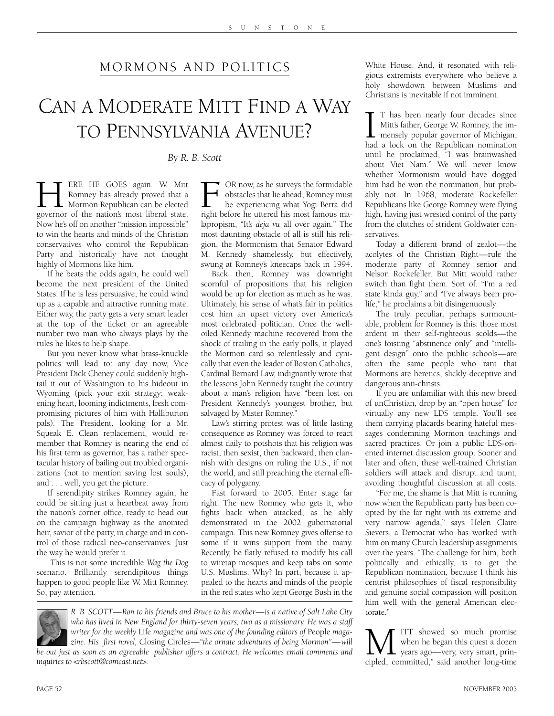## MORMONS AND POLITICS

## CAN A MODERATE MITT FIND A WAY TO PENNSYLVANIA AVENUE?

*By R. B. Scott*

**HERE HE GOES again.** W. Mitt Romney has already proved that a Mormon Republican can be elected governor of the nation's most liberal state. Romney has already proved that a **Mormon Republican can be elected** Now he's off on another "mission impossible" to win the hearts and minds of the Christian conservatives who control the Republican Party and historically have not thought highly of Mormons like him.

If he beats the odds again, he could well become the next president of the United States. If he is less persuasive, he could wind up as a capable and attractive running mate. Either way, the party gets a very smart leader at the top of the ticket or an agreeable number two man who always plays by the rules he likes to help shape.

But you never know what brass-knuckle politics will lead to: any day now, Vice President Dick Cheney could suddenly hightail it out of Washington to his hideout in Wyoming (pick your exit strategy: weakening heart, looming indictments, fresh compromising pictures of him with Halliburton pals). The President, looking for a Mr. Squeak E. Clean replacement, would remember that Romney is nearing the end of his first term as governor, has a rather spectacular history of bailing out troubled organizations (not to mention saving lost souls), and . . . well, you get the picture.

If serendipity strikes Romney again, he could be sitting just a heartbeat away from the nation's corner office, ready to head out on the campaign highway as the anointed heir, savior of the party, in charge and in control of those radical neo-conservatives. Just the way he would prefer it.

This is not some incredible *Wag the Dog* scenario. Brilliantly serendipitous things happen to good people like W. Mitt Romney. So, pay attention.

F OR now, as he surveys the formidable<br>bestacles that lie ahead, Romney must<br>be experiencing what Yogi Berra did<br>right before he uttered his most famous maobstacles that lie ahead, Romney must be experiencing what Yogi Berra did lapropism, "It's *deja vu* all over again." The most daunting obstacle of all is still his religion, the Mormonism that Senator Edward M. Kennedy shamelessly, but effectively, swung at Romney's kneecaps back in 1994.

Back then, Romney was downright scornful of propositions that his religion would be up for election as much as he was. Ultimately, his sense of what's fair in politics cost him an upset victory over America's most celebrated politician. Once the welloiled Kennedy machine recovered from the shock of trailing in the early polls, it played the Mormon card so relentlessly and cynically that even the leader of Boston Catholics, Cardinal Bernard Law, indignantly wrote that the lessons John Kennedy taught the country about a man's religion have "been lost on President Kennedy's youngest brother, but salvaged by Mister Romney."

Law's stirring protest was of little lasting consequence as Romney was forced to react almost daily to potshots that his religion was racist, then sexist, then backward, then clannish with designs on ruling the U.S., if not the world, and still preaching the eternal efficacy of polygamy.

Fast forward to 2005. Enter stage far right: The new Romney who gets it, who fights back when attacked, as he ably demonstrated in the 2002 gubernatorial campaign. This new Romney gives offense to some if it wins support from the many. Recently, he flatly refused to modify his call to wiretap mosques and keep tabs on some U.S. Muslims. Why? In part, because it appealed to the hearts and minds of the people in the red states who kept George Bush in the

White House. And, it resonated with religious extremists everywhere who believe a holy showdown between Muslims and Christians is inevitable if not imminent.

I T has been nearly four decades since<br>Mitt's father, George W. Romney, the im-<br>mensely popular governor of Michigan,<br>had a lock on the Republican nomination T has been nearly four decades since Mitt's father, George W. Romney, the im-**L** mensely popular governor of Michigan, until he proclaimed, "I was brainwashed about Viet Nam." We will never know whether Mormonism would have dogged him had he won the nomination, but probably not. In 1968, moderate Rockefeller Republicans like George Romney were flying high, having just wrested control of the party from the clutches of strident Goldwater conservatives.

Today a different brand of zealot—the acolytes of the Christian Right—rule the moderate party of Romney senior and Nelson Rockefeller. But Mitt would rather switch than fight them. Sort of. "I'm a red state kinda guy," and "I've always been prolife," he proclaims a bit disingenuously.

The truly peculiar, perhaps surmountable, problem for Romney is this: those most ardent in their self-righteous scolds—the one's foisting "abstinence only" and "intelligent design" onto the public schools—are often the same people who rant that Mormons are heretics, slickly deceptive and dangerous anti-christs.

If you are unfamiliar with this new breed of unChristian, drop by an "open house" for virtually any new LDS temple. You'll see them carrying placards bearing hateful messages condemning Mormon teachings and sacred practices. Or join a public LDS-oriented internet discussion group. Sooner and later and often, these well-trained Christian soldiers will attack and disrupt and taunt, avoiding thoughtful discussion at all costs.

"For me, the shame is that Mitt is running now when the Republican party has been coopted by the far right with its extreme and very narrow agenda," says Helen Claire Sievers, a Democrat who has worked with him on many Church leadership assignments over the years. "The challenge for him, both politically and ethically, is to get the Republican nomination, because I think his centrist philosophies of fiscal responsibility and genuine social compassion will position him well with the general American electorate."

**M** ITT showed so much promise<br>when he began this quest a dozen<br>cipled, committed," said another long-time when he began this quest a dozen years ago—very, very smart, principled, committed," said another long-time

*R. B. SCOTT—Ron to his friends and Bruce to his mother—is a native of Salt Lake City who has lived in New England for thirty-seven years, two as a missionary. He was a staff writer for the weekly* Life *magazine and was one of the founding editors of* People *magazine. His first novel,* Closing Circles*—"the ornate adventures of being Mormon"—will be out just as soon as an agreeable publisher offers a contract. He welcomes email comments and inquiries to <rbscott@comcast.net>.*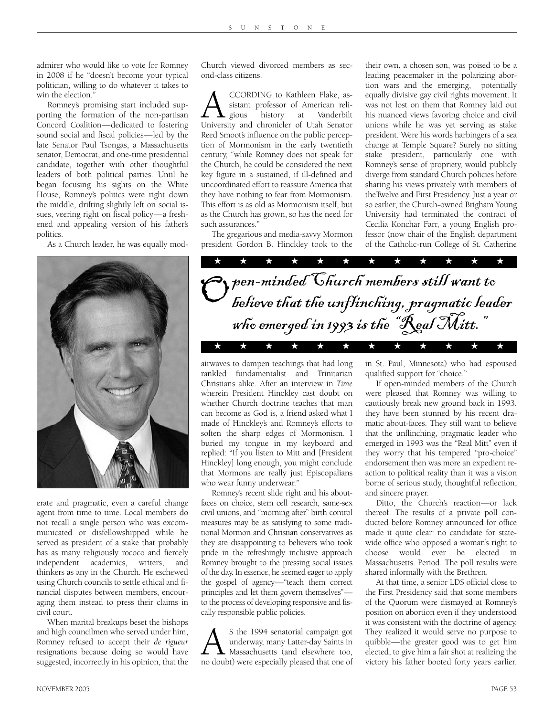admirer who would like to vote for Romney in 2008 if he "doesn't become your typical politician, willing to do whatever it takes to win the election.'

Romney's promising start included supporting the formation of the non-partisan Concord Coalition—dedicated to fostering sound social and fiscal policies—led by the late Senator Paul Tsongas, a Massachusetts senator, Democrat, and one-time presidential candidate, together with other thoughtful leaders of both political parties. Until he began focusing his sights on the White House, Romney's politics were right down the middle, drifting slightly left on social issues, veering right on fiscal policy—a freshened and appealing version of his father's politics.

As a Church leader, he was equally mod-



erate and pragmatic, even a careful change agent from time to time. Local members do not recall a single person who was excommunicated or disfellowshipped while he served as president of a stake that probably has as many religiously rococo and fiercely independent academics, writers, and thinkers as any in the Church. He eschewed using Church councils to settle ethical and financial disputes between members, encouraging them instead to press their claims in civil court.

When marital breakups beset the bishops and high councilmen who served under him, Romney refused to accept their *de rigueur* resignations because doing so would have suggested, incorrectly in his opinion, that the

Church viewed divorced members as second-class citizens.

A CCORDING to Kathleen Flake, assistant professor of American reli-<br>gious history at Vanderbilt<br>University and chronicler of Utah Senator sistant professor of American relisious history at Vanderbilt Reed Smoot's influence on the public perception of Mormonism in the early twentieth century, "while Romney does not speak for the Church, he could be considered the next key figure in a sustained, if ill-defined and uncoordinated effort to reassure America that they have nothing to fear from Mormonism. This effort is as old as Mormonism itself, but as the Church has grown, so has the need for such assurances."

The gregarious and media-savvy Mormon president Gordon B. Hinckley took to the their own, a chosen son, was poised to be a leading peacemaker in the polarizing abortion wars and the emerging, potentially equally divisive gay civil rights movement. It was not lost on them that Romney laid out his nuanced views favoring choice and civil unions while he was yet serving as stake president. Were his words harbingers of a sea change at Temple Square? Surely no sitting stake president, particularly one with Romney's sense of propriety, would publicly diverge from standard Church policies before sharing his views privately with members of theTwelve and First Presidency. Just a year or so earlier, the Church-owned Brigham Young University had terminated the contract of Cecilia Konchar Farr, a young English professor (now chair of the English department of the Catholic-run College of St. Catherine



airwaves to dampen teachings that had long rankled fundamentalist and Trinitarian Christians alike. After an interview in *Time* wherein President Hinckley cast doubt on whether Church doctrine teaches that man can become as God is, a friend asked what I made of Hinckley's and Romney's efforts to soften the sharp edges of Mormonism. I buried my tongue in my keyboard and replied: "If you listen to Mitt and [President Hinckley] long enough, you might conclude that Mormons are really just Episcopalians who wear funny underwear."

Romney's recent slide right and his aboutfaces on choice, stem cell research, same-sex civil unions, and "morning after" birth control measures may be as satisfying to some traditional Mormon and Christian conservatives as they are disappointing to believers who took pride in the refreshingly inclusive approach Romney brought to the pressing social issues of the day. In essence, he seemed eager to apply the gospel of agency—"teach them correct principles and let them govern themselves" to the process of developing responsive and fiscally responsible public policies.

AS the 1994 senatorial campaign got underway, many Latter-day Saints in Massachusetts (and elsewhere too, no doubt) were especially pleased that one of underway, many Latter-day Saints in Massachusetts (and elsewhere too, in St. Paul, Minnesota) who had espoused qualified support for "choice."

If open-minded members of the Church were pleased that Romney was willing to cautiously break new ground back in 1993, they have been stunned by his recent dramatic about-faces. They still want to believe that the unflinching, pragmatic leader who emerged in 1993 was the "Real Mitt" even if they worry that his tempered "pro-choice" endorsement then was more an expedient reaction to political reality than it was a vision borne of serious study, thoughtful reflection, and sincere prayer.

Ditto, the Church's reaction—or lack thereof. The results of a private poll conducted before Romney announced for office made it quite clear: no candidate for statewide office who opposed a woman's right to choose would ever be elected in Massachusetts. Period. The poll results were shared informally with the Brethren.

At that time, a senior LDS official close to the First Presidency said that some members of the Quorum were dismayed at Romney's position on abortion even if they understood it was consistent with the doctrine of agency. They realized it would serve no purpose to quibble—the greater good was to get him elected, to give him a fair shot at realizing the victory his father booted forty years earlier.